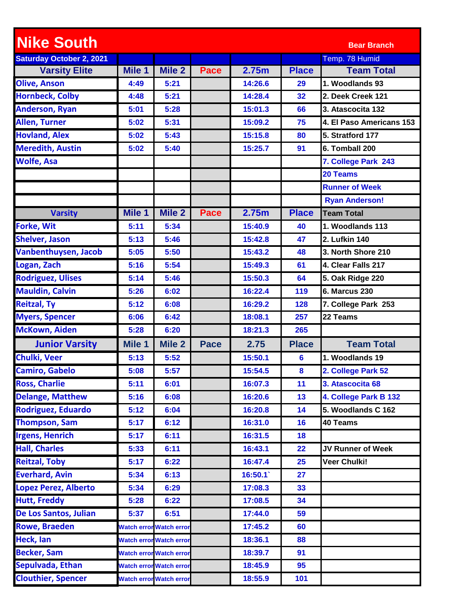| <b>Nike South</b>               |        |                         |             |         |                 | <b>Bear Branch</b>       |
|---------------------------------|--------|-------------------------|-------------|---------|-----------------|--------------------------|
| <b>Saturday October 2, 2021</b> |        |                         |             |         |                 | Temp. 78 Humid           |
| <b>Varsity Elite</b>            | Mile 1 | Mile 2                  | <b>Pace</b> | 2.75m   | <b>Place</b>    | <b>Team Total</b>        |
| <b>Olive, Anson</b>             | 4:49   | 5:21                    |             | 14:26.6 | 29              | 1. Woodlands 93          |
| <b>Hornbeck, Colby</b>          | 4:48   | 5:21                    |             | 14:28.4 | 32              | 2. Deek Creek 121        |
| <b>Anderson, Ryan</b>           | 5:01   | 5:28                    |             | 15:01.3 | 66              | 3. Atascocita 132        |
| <b>Allen, Turner</b>            | 5:02   | 5:31                    |             | 15:09.2 | 75              | 4. El Paso Americans 153 |
| <b>Hovland, Alex</b>            | 5:02   | 5:43                    |             | 15:15.8 | 80              | 5. Stratford 177         |
| <b>Meredith, Austin</b>         | 5:02   | 5:40                    |             | 15:25.7 | 91              | 6. Tomball 200           |
| <b>Wolfe, Asa</b>               |        |                         |             |         |                 | 7. College Park 243      |
|                                 |        |                         |             |         |                 | 20 Teams                 |
|                                 |        |                         |             |         |                 | <b>Runner of Week</b>    |
|                                 |        |                         |             |         |                 | <b>Ryan Anderson!</b>    |
| <b>Varsity</b>                  | Mile 1 | Mile <sub>2</sub>       | <b>Pace</b> | 2.75m   | <b>Place</b>    | <b>Team Total</b>        |
| <b>Forke, Wit</b>               | 5:11   | 5:34                    |             | 15:40.9 | 40              | 1. Woodlands 113         |
| <b>Shelver, Jason</b>           | 5:13   | 5:46                    |             | 15:42.8 | 47              | 2. Lufkin 140            |
| <b>Vanbenthuysen, Jacob</b>     | 5:05   | 5:50                    |             | 15:43.2 | 48              | 3. North Shore 210       |
| Logan, Zach                     | 5:16   | 5:54                    |             | 15:49.3 | 61              | 4. Clear Falls 217       |
| <b>Rodriguez, Ulises</b>        | 5:14   | 5:46                    |             | 15:50.3 | 64              | 5. Oak Ridge 220         |
| <b>Mauldin, Calvin</b>          | 5:26   | 6:02                    |             | 16:22.4 | 119             | <b>6. Marcus 230</b>     |
| <b>Reitzal, Ty</b>              | 5:12   | 6:08                    |             | 16:29.2 | 128             | 7. College Park 253      |
| <b>Myers, Spencer</b>           | 6:06   | 6:42                    |             | 18:08.1 | 257             | 22 Teams                 |
| <b>McKown, Aiden</b>            | 5:28   | 6:20                    |             | 18:21.3 | 265             |                          |
| <b>Junior Varsity</b>           | Mile 1 | <b>Mile 2</b>           | <b>Pace</b> | 2.75    | <b>Place</b>    | <b>Team Total</b>        |
| <b>Chulki, Veer</b>             | 5:13   | 5:52                    |             | 15:50.1 | $6\phantom{1}6$ | 1. Woodlands 19          |
| <b>Camiro, Gabelo</b>           | 5:08   | 5:57                    |             | 15:54.5 | 8               | 2. College Park 52       |
| <b>Ross, Charlie</b>            | 5:11   | 6:01                    |             | 16:07.3 | 11              | 3. Atascocita 68         |
| <b>Delange, Matthew</b>         | 5:16   | 6:08                    |             | 16:20.6 | 13              | 4. College Park B 132    |
| Rodriguez, Eduardo              | 5:12   | 6:04                    |             | 16:20.8 | 14              | 5. Woodlands C 162       |
| <b>Thompson, Sam</b>            | 5:17   | 6:12                    |             | 16:31.0 | 16              | 40 Teams                 |
| <b>Irgens, Henrich</b>          | 5:17   | 6:11                    |             | 16:31.5 | 18              |                          |
| <b>Hall, Charles</b>            | 5:33   | 6:11                    |             | 16:43.1 | 22              | JV Runner of Week        |
| <b>Reitzal, Toby</b>            | 5:17   | 6:22                    |             | 16:47.4 | 25              | Veer Chulki!             |
| <b>Everhard, Avin</b>           | 5:34   | 6:13                    |             | 16:50.1 | 27              |                          |
| <b>Lopez Perez, Alberto</b>     | 5:34   | 6:29                    |             | 17:08.3 | 33              |                          |
| <b>Hutt, Freddy</b>             | 5:28   | 6:22                    |             | 17:08.5 | 34              |                          |
| De Los Santos, Julian           | 5:37   | 6:51                    |             | 17:44.0 | 59              |                          |
| <b>Rowe, Braeden</b>            |        | Watch error Watch error |             | 17:45.2 | 60              |                          |
| Heck, Ian                       |        | Watch error Watch error |             | 18:36.1 | 88              |                          |
| <b>Becker, Sam</b>              |        | Watch error Watch error |             | 18:39.7 | 91              |                          |
| Sepulvada, Ethan                |        | Watch error Watch error |             | 18:45.9 | 95              |                          |
| <b>Clouthier, Spencer</b>       |        | Watch error Watch error |             | 18:55.9 | 101             |                          |